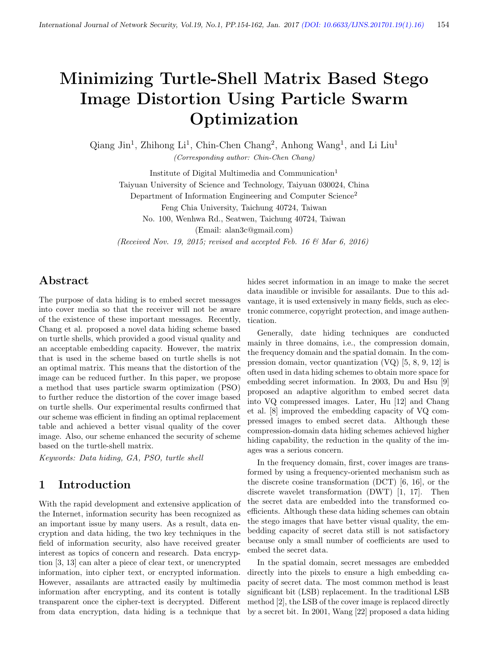# Minimizing Turtle-Shell Matrix Based Stego Image Distortion Using Particle Swarm Optimization

Qiang Jin<sup>1</sup>, Zhihong Li<sup>1</sup>, Chin-Chen Chang<sup>2</sup>, Anhong Wang<sup>1</sup>, and Li Liu<sup>1</sup> (Corresponding author: Chin-Chen Chang)

Institute of Digital Multimedia and Communication<sup>1</sup> Taiyuan University of Science and Technology, Taiyuan 030024, China Department of Information Engineering and Computer Science<sup>2</sup> Feng Chia University, Taichung 40724, Taiwan No. 100, Wenhwa Rd., Seatwen, Taichung 40724, Taiwan

(Email: alan3c@gmail.com)

(Received Nov. 19, 2015; revised and accepted Feb. 16  $\mathcal C$  Mar 6, 2016)

# Abstract

The purpose of data hiding is to embed secret messages into cover media so that the receiver will not be aware of the existence of these important messages. Recently, Chang et al. proposed a novel data hiding scheme based on turtle shells, which provided a good visual quality and an acceptable embedding capacity. However, the matrix that is used in the scheme based on turtle shells is not an optimal matrix. This means that the distortion of the image can be reduced further. In this paper, we propose a method that uses particle swarm optimization (PSO) to further reduce the distortion of the cover image based on turtle shells. Our experimental results confirmed that our scheme was efficient in finding an optimal replacement table and achieved a better visual quality of the cover image. Also, our scheme enhanced the security of scheme based on the turtle-shell matrix.

Keywords: Data hiding, GA, PSO, turtle shell

## 1 Introduction

With the rapid development and extensive application of the Internet, information security has been recognized as an important issue by many users. As a result, data encryption and data hiding, the two key techniques in the field of information security, also have received greater interest as topics of concern and research. Data encryption [3, 13] can alter a piece of clear text, or unencrypted information, into cipher text, or encrypted information. However, assailants are attracted easily by multimedia information after encrypting, and its content is totally transparent once the cipher-text is decrypted. Different from data encryption, data hiding is a technique that hides secret information in an image to make the secret data inaudible or invisible for assailants. Due to this advantage, it is used extensively in many fields, such as electronic commerce, copyright protection, and image authentication.

Generally, date hiding techniques are conducted mainly in three domains, i.e., the compression domain, the frequency domain and the spatial domain. In the compression domain, vector quantization (VQ) [5, 8, 9, 12] is often used in data hiding schemes to obtain more space for embedding secret information. In 2003, Du and Hsu [9] proposed an adaptive algorithm to embed secret data into VQ compressed images. Later, Hu [12] and Chang et al. [8] improved the embedding capacity of VQ compressed images to embed secret data. Although these compression-domain data hiding schemes achieved higher hiding capability, the reduction in the quality of the images was a serious concern.

In the frequency domain, first, cover images are transformed by using a frequency-oriented mechanism such as the discrete cosine transformation (DCT) [6, 16], or the discrete wavelet transformation (DWT) [1, 17]. Then the secret data are embedded into the transformed coefficients. Although these data hiding schemes can obtain the stego images that have better visual quality, the embedding capacity of secret data still is not satisfactory because only a small number of coefficients are used to embed the secret data.

In the spatial domain, secret messages are embedded directly into the pixels to ensure a high embedding capacity of secret data. The most common method is least significant bit (LSB) replacement. In the traditional LSB method [2], the LSB of the cover image is replaced directly by a secret bit. In 2001, Wang [22] proposed a data hiding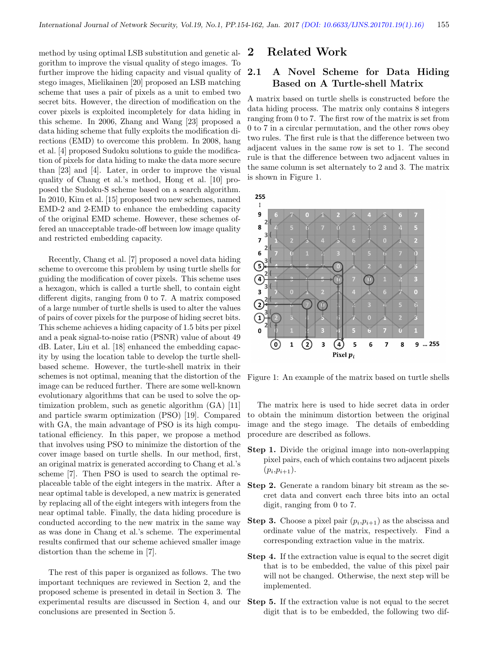method by using optimal LSB substitution and genetic algorithm to improve the visual quality of stego images. To further improve the hiding capacity and visual quality of stego images, Mielikainen [20] proposed an LSB matching scheme that uses a pair of pixels as a unit to embed two secret bits. However, the direction of modification on the cover pixels is exploited incompletely for data hiding in this scheme. In 2006, Zhang and Wang [23] proposed a data hiding scheme that fully exploits the modification directions (EMD) to overcome this problem. In 2008, hang et al. [4] proposed Sudoku solutions to guide the modification of pixels for data hiding to make the data more secure than [23] and [4]. Later, in order to improve the visual quality of Chang et al.'s method, Hong et al. [10] proposed the Sudoku-S scheme based on a search algorithm. In 2010, Kim et al. [15] proposed two new schemes, named EMD-2 and 2-EMD to enhance the embedding capacity of the original EMD scheme. However, these schemes offered an unacceptable trade-off between low image quality and restricted embedding capacity.

Recently, Chang et al. [7] proposed a novel data hiding scheme to overcome this problem by using turtle shells for guiding the modification of cover pixels. This scheme uses a hexagon, which is called a turtle shell, to contain eight different digits, ranging from 0 to 7. A matrix composed of a large number of turtle shells is used to alter the values of pairs of cover pixels for the purpose of hiding secret bits. This scheme achieves a hiding capacity of 1.5 bits per pixel and a peak signal-to-noise ratio (PSNR) value of about 49 dB. Later, Liu et al. [18] enhanced the embedding capacity by using the location table to develop the turtle shellbased scheme. However, the turtle-shell matrix in their schemes is not optimal, meaning that the distortion of the image can be reduced further. There are some well-known evolutionary algorithms that can be used to solve the optimization problem, such as genetic algorithm (GA) [11] and particle swarm optimization (PSO) [19]. Compared with GA, the main advantage of PSO is its high computational efficiency. In this paper, we propose a method that involves using PSO to minimize the distortion of the cover image based on turtle shells. In our method, first, an original matrix is generated according to Chang et al.'s scheme [7]. Then PSO is used to search the optimal replaceable table of the eight integers in the matrix. After a near optimal table is developed, a new matrix is generated by replacing all of the eight integers with integers from the near optimal table. Finally, the data hiding procedure is conducted according to the new matrix in the same way as was done in Chang et al.'s scheme. The experimental results confirmed that our scheme achieved smaller image distortion than the scheme in [7].

The rest of this paper is organized as follows. The two important techniques are reviewed in Section 2, and the proposed scheme is presented in detail in Section 3. The experimental results are discussed in Section 4, and our conclusions are presented in Section 5.

## 2 Related Work

### 2.1 A Novel Scheme for Data Hiding Based on A Turtle-shell Matrix

A matrix based on turtle shells is constructed before the data hiding process. The matrix only contains 8 integers ranging from 0 to 7. The first row of the matrix is set from 0 to 7 in a circular permutation, and the other rows obey two rules. The first rule is that the difference between two adjacent values in the same row is set to 1. The second rule is that the difference between two adjacent values in the same column is set alternately to 2 and 3. The matrix is shown in Figure 1.

255



Figure 1: An example of the matrix based on turtle shells

The matrix here is used to hide secret data in order to obtain the minimum distortion between the original image and the stego image. The details of embedding procedure are described as follows.

- Step 1. Divide the original image into non-overlapping pixel pairs, each of which contains two adjacent pixels  $(p_i, p_{i+1}).$
- Step 2. Generate a random binary bit stream as the secret data and convert each three bits into an octal digit, ranging from 0 to 7.
- **Step 3.** Choose a pixel pair  $(p_i, p_{i+1})$  as the abscissa and ordinate value of the matrix, respectively. Find a corresponding extraction value in the matrix.
- Step 4. If the extraction value is equal to the secret digit that is to be embedded, the value of this pixel pair will not be changed. Otherwise, the next step will be implemented.
- Step 5. If the extraction value is not equal to the secret digit that is to be embedded, the following two dif-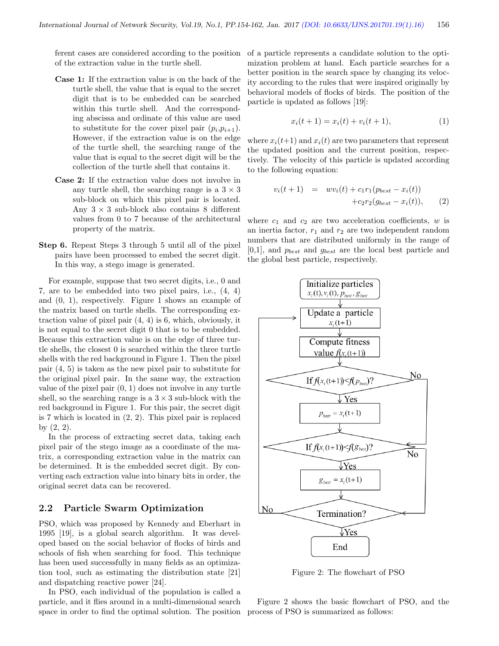ferent cases are considered according to the position of the extraction value in the turtle shell.

- Case 1: If the extraction value is on the back of the turtle shell, the value that is equal to the secret digit that is to be embedded can be searched within this turtle shell. And the corresponding abscissa and ordinate of this value are used to substitute for the cover pixel pair  $(p_i, p_{i+1})$ . However, if the extraction value is on the edge of the turtle shell, the searching range of the value that is equal to the secret digit will be the collection of the turtle shell that contains it.
- Case 2: If the extraction value does not involve in any turtle shell, the searching range is a  $3 \times 3$ sub-block on which this pixel pair is located. Any  $3 \times 3$  sub-block also contains 8 different values from 0 to 7 because of the architectural property of the matrix.
- Step 6. Repeat Steps 3 through 5 until all of the pixel pairs have been processed to embed the secret digit. In this way, a stego image is generated.

For example, suppose that two secret digits, i.e., 0 and 7, are to be embedded into two pixel pairs, i.e., (4, 4) and (0, 1), respectively. Figure 1 shows an example of the matrix based on turtle shells. The corresponding extraction value of pixel pair (4, 4) is 6, which, obviously, it is not equal to the secret digit 0 that is to be embedded. Because this extraction value is on the edge of three turtle shells, the closest 0 is searched within the three turtle shells with the red background in Figure 1. Then the pixel pair (4, 5) is taken as the new pixel pair to substitute for the original pixel pair. In the same way, the extraction value of the pixel pair (0, 1) does not involve in any turtle shell, so the searching range is a  $3 \times 3$  sub-block with the red background in Figure 1. For this pair, the secret digit is 7 which is located in (2, 2). This pixel pair is replaced by (2, 2).

In the process of extracting secret data, taking each pixel pair of the stego image as a coordinate of the matrix, a corresponding extraction value in the matrix can be determined. It is the embedded secret digit. By converting each extraction value into binary bits in order, the original secret data can be recovered.

#### 2.2 Particle Swarm Optimization

PSO, which was proposed by Kennedy and Eberhart in 1995 [19], is a global search algorithm. It was developed based on the social behavior of flocks of birds and schools of fish when searching for food. This technique has been used successfully in many fields as an optimization tool, such as estimating the distribution state [21] and dispatching reactive power [24].

In PSO, each individual of the population is called a particle, and it flies around in a multi-dimensional search space in order to find the optimal solution. The position process of PSO is summarized as follows:

of a particle represents a candidate solution to the optimization problem at hand. Each particle searches for a better position in the search space by changing its velocity according to the rules that were inspired originally by behavioral models of flocks of birds. The position of the particle is updated as follows [19]:

$$
x_i(t+1) = x_i(t) + v_i(t+1),
$$
\n(1)

where  $x_i(t+1)$  and  $x_i(t)$  are two parameters that represent the updated position and the current position, respectively. The velocity of this particle is updated according to the following equation:

$$
v_i(t+1) = w v_i(t) + c_1 r_1 (p_{best} - x_i(t)) + c_2 r_2 (g_{best} - x_i(t)),
$$
 (2)

where  $c_1$  and  $c_2$  are two acceleration coefficients, w is an inertia factor,  $r_1$  and  $r_2$  are two independent random numbers that are distributed uniformly in the range of  $[0,1]$ , and  $p_{best}$  and  $g_{best}$  are the local best particle and the global best particle, respectively.



Figure 2: The flowchart of PSO

Figure 2 shows the basic flowchart of PSO, and the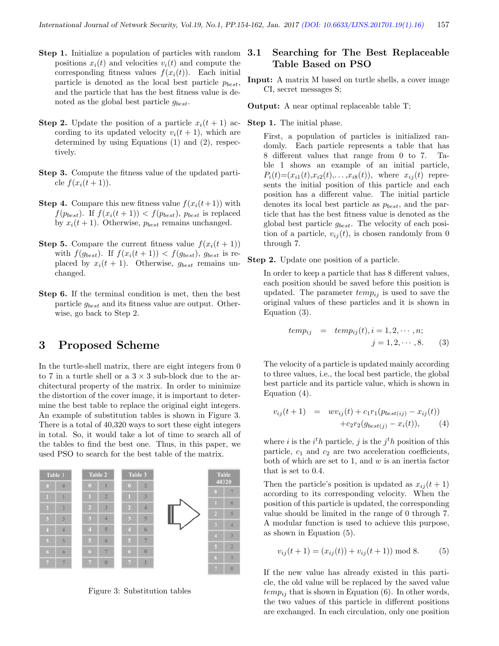- Step 1. Initialize a population of particles with random positions  $x_i(t)$  and velocities  $v_i(t)$  and compute the corresponding fitness values  $f(x_i(t))$ . Each initial particle is denoted as the local best particle  $p_{best}$ , and the particle that has the best fitness value is denoted as the global best particle  $g_{best}$ .
- **Step 2.** Update the position of a particle  $x_i(t + 1)$  according to its updated velocity  $v_i(t + 1)$ , which are determined by using Equations (1) and (2), respectively.
- Step 3. Compute the fitness value of the updated particle  $f(x_i(t+1))$ .
- **Step 4.** Compare this new fitness value  $f(x_i(t+1))$  with  $f(p_{best})$ . If  $f(x_i(t + 1)) < f(p_{best})$ ,  $p_{best}$  is replaced by  $x_i(t+1)$ . Otherwise,  $p_{best}$  remains unchanged.
- **Step 5.** Compare the current fitness value  $f(x_i(t + 1))$ with  $f(g_{best})$ . If  $f(x_i(t+1)) < f(g_{best})$ ,  $g_{best}$  is replaced by  $x_i(t + 1)$ . Otherwise,  $g_{best}$  remains unchanged.
- Step 6. If the terminal condition is met, then the best particle gbest and its fitness value are output. Otherwise, go back to Step 2.

# 3 Proposed Scheme

In the turtle-shell matrix, there are eight integers from 0 to 7 in a turtle shell or a  $3 \times 3$  sub-block due to the architectural property of the matrix. In order to minimize the distortion of the cover image, it is important to determine the best table to replace the original eight integers. An example of substitution tables is shown in Figure 3. There is a total of 40,320 ways to sort these eight integers in total. So, it would take a lot of time to search all of the tables to find the best one. Thus, in this paper, we used PSO to search for the best table of the matrix.



Figure 3: Substitution tables

### 3.1 Searching for The Best Replaceable Table Based on PSO

- Input: A matrix M based on turtle shells, a cover image CI, secret messages S;
- Output: A near optimal replaceable table T;
- Step 1. The initial phase.

First, a population of particles is initialized randomly. Each particle represents a table that has 8 different values that range from 0 to 7. Table 1 shows an example of an initial particle,  $P_i(t)=(x_{i1}(t),x_{i2}(t),\ldots,x_{i8}(t)),$  where  $x_{ij}(t)$  represents the initial position of this particle and each position has a different value. The initial particle denotes its local best particle as  $p_{best}$ , and the particle that has the best fitness value is denoted as the global best particle  $g_{best}$ . The velocity of each position of a particle,  $v_{ij}(t)$ , is chosen randomly from 0 through 7.

Step 2. Update one position of a particle.

In order to keep a particle that has 8 different values, each position should be saved before this position is updated. The parameter  $temp_{ij}$  is used to save the original values of these particles and it is shown in Equation (3).

$$
temp_{ij}
$$
 =  $temp_{ij}(t), i = 1, 2, \cdots, n;$   
 $j = 1, 2, \cdots, 8.$  (3)

The velocity of a particle is updated mainly according to three values, i.e., the local best particle, the global best particle and its particle value, which is shown in Equation (4).

$$
v_{ij}(t+1) = w v_{ij}(t) + c_1 r_1 (p_{best(ij)} - x_{ij}(t))
$$
  
+ 
$$
c_2 r_2 (g_{best(j)} - x_i(t)),
$$
 (4)

where *i* is the  $i^th$  particle, *j* is the  $j^th$  position of this particle,  $c_1$  and  $c_2$  are two acceleration coefficients, both of which are set to 1, and  $w$  is an inertia factor that is set to 0.4.

Then the particle's position is updated as  $x_{ij}(t+1)$ according to its corresponding velocity. When the position of this particle is updated, the corresponding value should be limited in the range of 0 through 7. A modular function is used to achieve this purpose, as shown in Equation (5).

$$
v_{ij}(t+1) = (x_{ij}(t)) + v_{ij}(t+1) \mod 8.
$$
 (5)

If the new value has already existed in this particle, the old value will be replaced by the saved value  $temp_{ij}$  that is shown in Equation (6). In other words, the two values of this particle in different positions are exchanged. In each circulation, only one position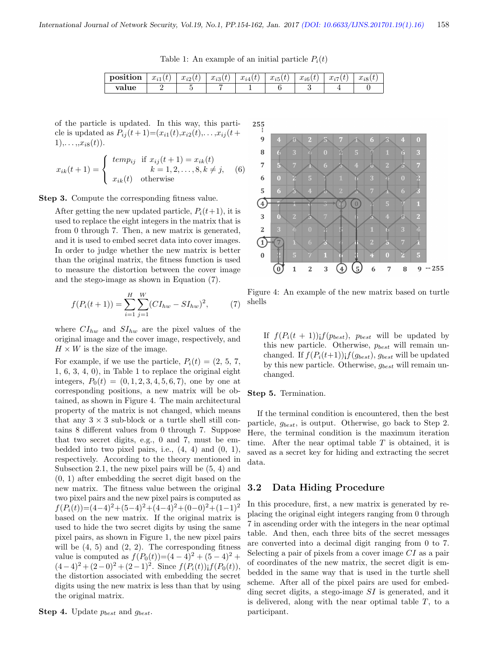Table 1: An example of an initial particle  $P_i(t)$ 

| position | $\alpha$ .<br>$u_{i1}$<br>$\boldsymbol{\iota}$ | $x_{i2}(t)$ | $x_{i3}(t)$ | $\alpha$ .<br>$u_{14}$ | $\alpha$ .<br>$u_{\nu}$<br>∙ | $r \cdot \alpha$<br>$u_{i6}(t)$ | $\gamma$<br>$u_{ii}$ | $r \cdot \alpha$<br>$u_{\iota 8}$ |
|----------|------------------------------------------------|-------------|-------------|------------------------|------------------------------|---------------------------------|----------------------|-----------------------------------|
| value    |                                                |             |             |                        |                              |                                 |                      |                                   |

of the particle is updated. In this way, this particle is updated as  $P_{ij}(t+1)=(x_{i1}(t),x_{i2}(t),...,x_{ij}(t+1))$  $1),\ldots, x_{i8}(t)$ .

$$
x_{ik}(t+1) = \begin{cases} temp_{ij} & \text{if } x_{ij}(t+1) = x_{ik}(t) \\ k = 1, 2, \dots, 8, k \neq j, \\ x_{ik}(t) & \text{otherwise} \end{cases}
$$
(6)

Step 3. Compute the corresponding fitness value.

After getting the new updated particle,  $P_i(t+1)$ , it is used to replace the eight integers in the matrix that is from 0 through 7. Then, a new matrix is generated, and it is used to embed secret data into cover images. In order to judge whether the new matrix is better than the original matrix, the fitness function is used to measure the distortion between the cover image and the stego-image as shown in Equation (7).

$$
f(P_i(t+1)) = \sum_{i=1}^{H} \sum_{j=1}^{W} (CI_{hw} - SI_{hw})^2, \tag{7}
$$

where  $CI_{hw}$  and  $SI_{hw}$  are the pixel values of the original image and the cover image, respectively, and  $H \times W$  is the size of the image.

For example, if we use the particle,  $P_i(t) = (2, 5, 7,$ 1, 6, 3, 4, 0), in Table 1 to replace the original eight integers,  $P_0(t) = (0, 1, 2, 3, 4, 5, 6, 7)$ , one by one at corresponding positions, a new matrix will be obtained, as shown in Figure 4. The main architectural property of the matrix is not changed, which means that any  $3 \times 3$  sub-block or a turtle shell still contains 8 different values from 0 through 7. Suppose that two secret digits, e.g., 0 and 7, must be embedded into two pixel pairs, i.e.,  $(4, 4)$  and  $(0, 1)$ , respectively. According to the theory mentioned in Subsection 2.1, the new pixel pairs will be (5, 4) and (0, 1) after embedding the secret digit based on the new matrix. The fitness value between the original two pixel pairs and the new pixel pairs is computed as  $f(P_i(t))=(4-4)^2+(5-4)^2+(4-4)^2+(0-0)^2+(1-1)^2$ based on the new matrix. If the original matrix is used to hide the two secret digits by using the same pixel pairs, as shown in Figure 1, the new pixel pairs will be  $(4, 5)$  and  $(2, 2)$ . The corresponding fitness value is computed as  $f(P_0(t))=(4-4)^2+(5-4)^2+$  $(4-4)^2 + (2-0)^2 + (2-1)^2$ . Since  $f(P_i(t))$ ;  $f(P_0(t))$ , the distortion associated with embedding the secret digits using the new matrix is less than that by using the original matrix.



Figure 4: An example of the new matrix based on turtle shells

If  $f(P_i(t + 1))$ ;  $f(p_{best})$ ,  $p_{best}$  will be updated by this new particle. Otherwise,  $p_{best}$  will remain unchanged. If  $f(P_i(t+1))$ ;  $f(g_{best})$ ,  $g_{best}$  will be updated by this new particle. Otherwise,  $g_{best}$  will remain unchanged.

Step 5. Termination.

If the terminal condition is encountered, then the best particle,  $g_{best}$ , is output. Otherwise, go back to Step 2. Here, the terminal condition is the maximum iteration time. After the near optimal table  $T$  is obtained, it is saved as a secret key for hiding and extracting the secret data.

#### 3.2 Data Hiding Procedure

In this procedure, first, a new matrix is generated by replacing the original eight integers ranging from 0 through 7 in ascending order with the integers in the near optimal table. And then, each three bits of the secret messages are converted into a decimal digit ranging from 0 to 7. Selecting a pair of pixels from a cover image CI as a pair of coordinates of the new matrix, the secret digit is embedded in the same way that is used in the turtle shell scheme. After all of the pixel pairs are used for embedding secret digits, a stego-image SI is generated, and it is delivered, along with the near optimal table  $T$ , to a participant.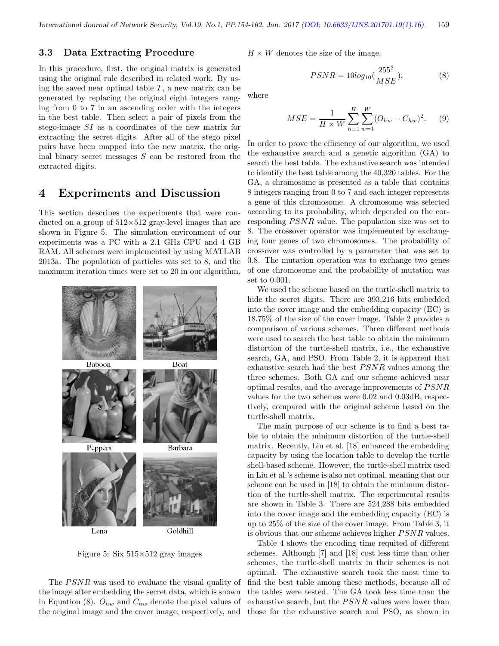#### 3.3 Data Extracting Procedure

In this procedure, first, the original matrix is generated using the original rule described in related work. By using the saved near optimal table  $T$ , a new matrix can be generated by replacing the original eight integers ranging from 0 to 7 in an ascending order with the integers in the best table. Then select a pair of pixels from the stego-image SI as a coordinates of the new matrix for extracting the secret digits. After all of the stego pixel pairs have been mapped into the new matrix, the original binary secret messages  $S$  can be restored from the extracted digits.

#### 4 Experiments and Discussion

This section describes the experiments that were conducted on a group of  $512\times512$  gray-level images that are shown in Figure 5. The simulation environment of our experiments was a PC with a 2.1 GHz CPU and 4 GB RAM. All schemes were implemented by using MATLAB 2013a. The population of particles was set to 8, and the maximum iteration times were set to 20 in our algorithm.



Figure 5: Six  $515\times512$  gray images

The  $PSNR$  was used to evaluate the visual quality of the image after embedding the secret data, which is shown in Equation (8).  $O_{hw}$  and  $C_{hw}$  denote the pixel values of the original image and the cover image, respectively, and

 $H \times W$  denotes the size of the image.

$$
PSNR = 10log_{10}(\frac{255^2}{MSE}),
$$
\n(8)

where

$$
MSE = \frac{1}{H \times W} \sum_{h=1}^{H} \sum_{w=1}^{W} (O_{hw} - C_{hw})^2.
$$
 (9)

In order to prove the efficiency of our algorithm, we used the exhaustive search and a genetic algorithm (GA) to search the best table. The exhaustive search was intended to identify the best table among the 40,320 tables. For the GA, a chromosome is presented as a table that contains 8 integers ranging from 0 to 7 and each integer represents a gene of this chromosome. A chromosome was selected according to its probability, which depended on the corresponding  $PSNR$  value. The population size was set to 8. The crossover operator was implemented by exchanging four genes of two chromosomes. The probability of crossover was controlled by a parameter that was set to 0.8. The mutation operation was to exchange two genes of one chromosome and the probability of mutation was set to 0.001.

We used the scheme based on the turtle-shell matrix to hide the secret digits. There are 393,216 bits embedded into the cover image and the embedding capacity (EC) is 18.75% of the size of the cover image. Table 2 provides a comparison of various schemes. Three different methods were used to search the best table to obtain the minimum distortion of the turtle-shell matrix, i.e., the exhaustive search, GA, and PSO. From Table 2, it is apparent that exhaustive search had the best  $PSNR$  values among the three schemes. Both GA and our scheme achieved near optimal results, and the average improvements of  $PSNR$ values for the two schemes were 0.02 and 0.03dB, respectively, compared with the original scheme based on the turtle-shell matrix.

The main purpose of our scheme is to find a best table to obtain the minimum distortion of the turtle-shell matrix. Recently, Liu et al. [18] enhanced the embedding capacity by using the location table to develop the turtle shell-based scheme. However, the turtle-shell matrix used in Liu et al.'s scheme is also not optimal, meaning that our scheme can be used in [18] to obtain the minimum distortion of the turtle-shell matrix. The experimental results are shown in Table 3. There are 524,288 bits embedded into the cover image and the embedding capacity (EC) is up to 25% of the size of the cover image. From Table 3, it is obvious that our scheme achieves higher  $PSNR$  values.

Table 4 shows the encoding time requited of different schemes. Although [7] and [18] cost less time than other schemes, the turtle-shell matrix in their schemes is not optimal. The exhaustive search took the most time to find the best table among these methods, because all of the tables were tested. The GA took less time than the exhaustive search, but the  $PSNR$  values were lower than those for the exhaustive search and PSO, as shown in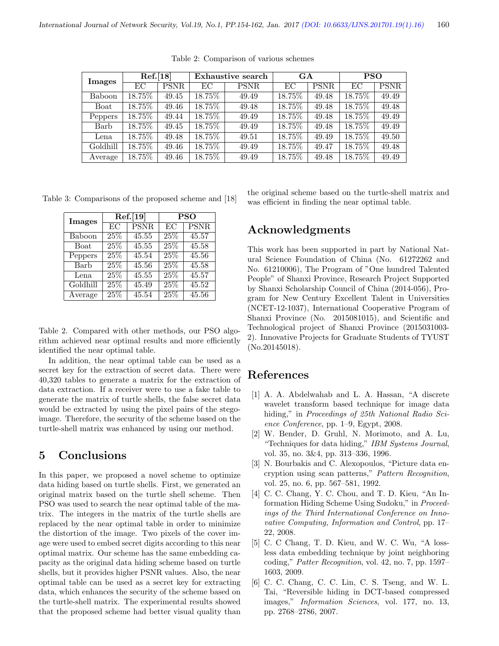| <b>Images</b> | Ref.[18] |             | Exhaustive search |             | GA        |             | <b>PSO</b> |             |
|---------------|----------|-------------|-------------------|-------------|-----------|-------------|------------|-------------|
|               | EС       | <b>PSNR</b> | EС                | <b>PSNR</b> | ЕC        | <b>PSNR</b> | EС         | <b>PSNR</b> |
| Baboon        | 18.75%   | 49.45       | 18.75%            | 49.49       | 18.75%    | 49.48       | 18.75%     | 49.49       |
| Boat          | 18.75%   | 49.46       | 18.75%            | 49.48       | $18.75\%$ | 49.48       | 18.75%     | 49.48       |
| Peppers       | 18.75%   | 49.44       | 18.75%            | 49.49       | 18.75%    | 49.48       | 18.75%     | 49.49       |
| Barb          | 18.75%   | 49.45       | 18.75%            | 49.49       | 18.75%    | 49.48       | 18.75%     | 49.49       |
| Lena          | 18.75%   | 49.48       | 18.75%            | 49.51       | 18.75%    | 49.49       | $18.75\%$  | 49.50       |
| Goldhill      | 18.75%   | 49.46       | 18.75%            | 49.49       | 18.75%    | 49.47       | 18.75%     | 49.48       |
| Average       | 18.75%   | 49.46       | $18.75\%$         | 49.49       | 18.75%    | 49.48       | 18.75%     | 49.49       |

Table 2: Comparison of various schemes

Table 3: Comparisons of the proposed scheme and [18]

| Images   |                   | Ref.[19]    | <b>PSO</b> |             |  |
|----------|-------------------|-------------|------------|-------------|--|
|          | FC                | <b>PSNR</b> | EC         | <b>PSNR</b> |  |
| Baboon   | $\overline{25\%}$ | 45.55       | 25\%       | 45.57       |  |
| Boat     | $\overline{25\%}$ | 45.55       | 25%        | 45.58       |  |
| Peppers  | 25\%              | 45.54       | 25\%       | 45.56       |  |
| Barb     | 25\%              | 45.56       | 25\%       | 45.58       |  |
| Lena     | 25\%              | 45.55       | 25%        | 45.57       |  |
| Goldhill | 25%               | 45.49       | 25%        | 45.52       |  |
| Average  | 25\%              | 45.54       | 25%        | 45.56       |  |

Table 2. Compared with other methods, our PSO algorithm achieved near optimal results and more efficiently identified the near optimal table.

In addition, the near optimal table can be used as a secret key for the extraction of secret data. There were 40,320 tables to generate a matrix for the extraction of data extraction. If a receiver were to use a fake table to generate the matrix of turtle shells, the false secret data would be extracted by using the pixel pairs of the stegoimage. Therefore, the security of the scheme based on the turtle-shell matrix was enhanced by using our method.

## 5 Conclusions

In this paper, we proposed a novel scheme to optimize data hiding based on turtle shells. First, we generated an original matrix based on the turtle shell scheme. Then PSO was used to search the near optimal table of the matrix. The integers in the matrix of the turtle shells are replaced by the near optimal table in order to minimize the distortion of the image. Two pixels of the cover image were used to embed secret digits according to this near optimal matrix. Our scheme has the same embedding capacity as the original data hiding scheme based on turtle shells, but it provides higher PSNR values. Also, the near optimal table can be used as a secret key for extracting data, which enhances the security of the scheme based on the turtle-shell matrix. The experimental results showed that the proposed scheme had better visual quality than

the original scheme based on the turtle-shell matrix and was efficient in finding the near optimal table.

# Acknowledgments

This work has been supported in part by National Natural Science Foundation of China (No. 61272262 and No. 61210006), The Program of "One hundred Talented People" of Shanxi Province, Research Project Supported by Shanxi Scholarship Council of China (2014-056), Program for New Century Excellent Talent in Universities (NCET-12-1037), International Cooperative Program of Shanxi Province (No. 2015081015), and Scientific and Technological project of Shanxi Province (2015031003- 2). Innovative Projects for Graduate Students of TYUST (No.20145018).

## References

- [1] A. A. Abdelwahab and L. A. Hassan, "A discrete wavelet transform based technique for image data hiding," in Proceedings of 25th National Radio Science Conference, pp. 1–9, Egypt, 2008.
- [2] W. Bender, D. Gruhl, N. Morimoto, and A. Lu, "Techniques for data hiding," IBM Systems Journal, vol. 35, no. 3&4, pp. 313–336, 1996.
- [3] N. Bourbakis and C. Alexopoulos, "Picture data encryption using scan patterns," Pattern Recognition, vol. 25, no. 6, pp. 567–581, 1992.
- [4] C. C. Chang, Y. C. Chou, and T. D. Kieu, "An Information Hiding Scheme Using Sudoku," in Proceedings of the Third International Conference on Innovative Computing, Information and Control, pp. 17– 22, 2008.
- [5] C. C Chang, T. D. Kieu, and W. C. Wu, "A lossless data embedding technique by joint neighboring coding," Patter Recognition, vol. 42, no. 7, pp. 1597– 1603, 2009.
- [6] C. C. Chang, C. C. Lin, C. S. Tseng, and W. L. Tai, "Reversible hiding in DCT-based compressed images," Information Sciences, vol. 177, no. 13, pp. 2768–2786, 2007.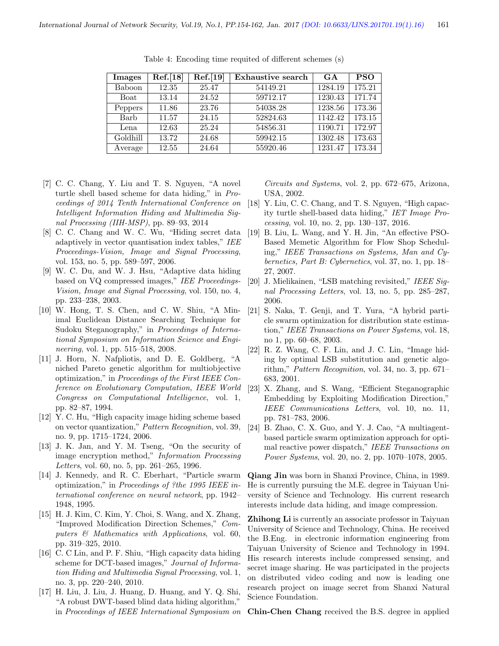| Images   | Ref.[18] | Ref.[19] | Exhaustive search | <b>GA</b> | <b>PSO</b> |
|----------|----------|----------|-------------------|-----------|------------|
| Baboon   | 12.35    | 25.47    | 54149.21          | 1284.19   | 175.21     |
| Boat     | 13.14    | 24.52    | 59712.17          | 1230.43   | 171.74     |
| Peppers  | 11.86    | 23.76    | 54038.28          | 1238.56   | 173.36     |
| Barb     | 11.57    | 24.15    | 52824.63          | 1142.42   | 173.15     |
| Lena     | 12.63    | 25.24    | 54856.31          | 1190.71   | 172.97     |
| Goldhill | 13.72    | 24.68    | 59942.15          | 1302.48   | 173.63     |
| Average  | 12.55    | 24.64    | 55920.46          | 1231.47   | 173.34     |

Table 4: Encoding time requited of different schemes (s)

- [7] C. C. Chang, Y. Liu and T. S. Nguyen, "A novel turtle shell based scheme for data hiding," in Proceedings of 2014 Tenth International Conference on Intelligent Information Hiding and Multimedia Signal Processing (IIH-MSP), pp. 89–93, 2014
- [8] C. C. Chang and W. C. Wu, "Hiding secret data adaptively in vector quantisation index tables," IEE Proceedings-Vision, Image and Signal Processing, vol. 153, no. 5, pp. 589–597, 2006.
- [9] W. C. Du, and W. J. Hsu, "Adaptive data hiding based on VQ compressed images," IEE Proceedings-Vision, Image and Signal Processing, vol. 150, no. 4, pp. 233–238, 2003.
- [10] W. Hong, T. S. Chen, and C. W. Shiu, "A Minimal Euclidean Distance Searching Technique for Sudoku Steganography," in Proceedings of International Symposium on Information Science and Engineering, vol. 1, pp. 515–518, 2008.
- [11] J. Horn, N. Nafpliotis, and D. E. Goldberg, "A niched Pareto genetic algorithm for multiobjective optimization," in Proceedings of the First IEEE Conference on Evolutionary Computation, IEEE World Congress on Computational Intelligence, vol. 1, pp. 82–87, 1994.
- [12] Y. C. Hu, "High capacity image hiding scheme based on vector quantization," Pattern Recognition, vol. 39, no. 9, pp. 1715–1724, 2006.
- [13] J. K. Jan, and Y. M. Tseng, "On the security of image encryption method," Information Processing Letters, vol. 60, no. 5, pp. 261–265, 1996.
- [14] J. Kennedy, and R. C. Eberhart, "Particle swarm optimization," in Proceedings of ?the 1995 IEEE international conference on neural network, pp. 1942– 1948, 1995.
- [15] H. J. Kim, C. Kim, Y. Choi, S. Wang, and X. Zhang, "Improved Modification Direction Schemes," Computers & Mathematics with Applications, vol. 60, pp. 319–325, 2010.
- [16] C. C Lin, and P. F. Shiu, "High capacity data hiding scheme for DCT-based images," Journal of Information Hiding and Multimedia Signal Processing, vol. 1, no. 3, pp. 220–240, 2010.
- [17] H. Liu, J. Liu, J. Huang, D. Huang, and Y. Q. Shi, "A robust DWT-based blind data hiding algorithm," in Proceedings of IEEE International Symposium on

Circuits and Systems, vol. 2, pp. 672–675, Arizona, USA, 2002.

- [18] Y. Liu, C. C. Chang, and T. S. Nguyen, "High capacity turtle shell-based data hiding," IET Image Processing, vol. 10, no. 2, pp. 130–137, 2016.
- [19] B. Liu, L. Wang, and Y. H. Jin, "An effective PSO-Based Memetic Algorithm for Flow Shop Scheduling," IEEE Transactions on Systems, Man and Cybernetics, Part B: Cybernetics, vol. 37, no. 1, pp. 18– 27, 2007.
- [20] J. Mielikainen, "LSB matching revisited," IEEE Signal Processing Letters, vol. 13, no. 5, pp. 285–287, 2006.
- [21] S. Naka, T. Genji, and T. Yura, "A hybrid particle swarm optimization for distribution state estimation," IEEE Transactions on Power Systems, vol. 18, no 1, pp. 60–68, 2003.
- [22] R. Z. Wang, C. F. Lin, and J. C. Lin, "Image hiding by optimal LSB substitution and genetic algorithm," Pattern Recognition, vol. 34, no. 3, pp. 671– 683, 2001.
- [23] X. Zhang, and S. Wang, "Efficient Steganographic Embedding by Exploiting Modification Direction," IEEE Communications Letters, vol. 10, no. 11, pp. 781–783, 2006.
- [24] B. Zhao, C. X. Guo, and Y. J. Cao, "A multiagentbased particle swarm optimization approach for optimal reactive power dispatch," IEEE Transactions on Power Systems, vol. 20, no. 2, pp. 1070–1078, 2005.

Qiang Jin was born in Shanxi Province, China, in 1989. He is currently pursuing the M.E. degree in Taiyuan University of Science and Technology. His current research interests include data hiding, and image compression.

Zhihong Li is currently an associate professor in Taiyuan University of Science and Technology, China. He received the B.Eng. in electronic information engineering from Taiyuan University of Science and Technology in 1994. His research interests include compressed sensing, and secret image sharing. He was participated in the projects on distributed video coding and now is leading one research project on image secret from Shanxi Natural Science Foundation.

Chin-Chen Chang received the B.S. degree in applied